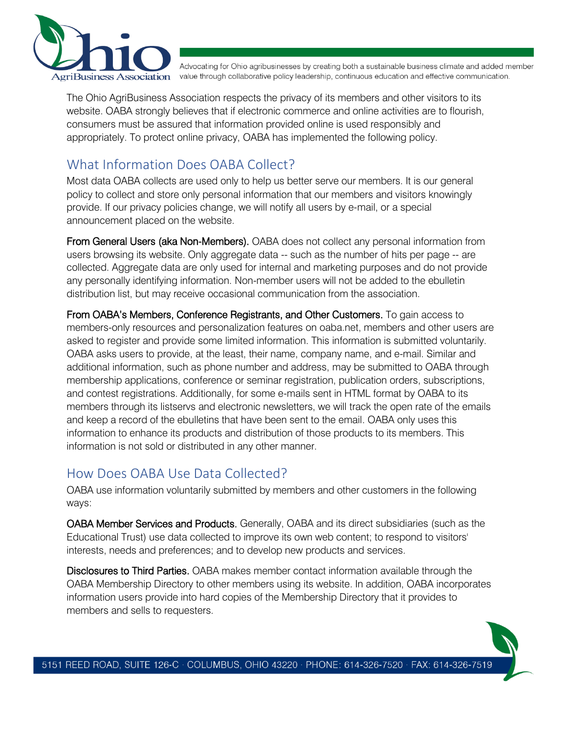

Advocating for Ohio agribusinesses by creating both a sustainable business climate and added member griBusiness Association value through collaborative policy leadership, continuous education and effective communication.

The Ohio AgriBusiness Association respects the privacy of its members and other visitors to its website. OABA strongly believes that if electronic commerce and online activities are to flourish, consumers must be assured that information provided online is used responsibly and appropriately. To protect online privacy, OABA has implemented the following policy.

# What Information Does OABA Collect?

Most data OABA collects are used only to help us better serve our members. It is our general policy to collect and store only personal information that our members and visitors knowingly provide. If our privacy policies change, we will notify all users by e-mail, or a special announcement placed on the website.

From General Users (aka Non-Members). OABA does not collect any personal information from users browsing its website. Only aggregate data -- such as the number of hits per page -- are collected. Aggregate data are only used for internal and marketing purposes and do not provide any personally identifying information. Non-member users will not be added to the ebulletin distribution list, but may receive occasional communication from the association.

From OABA's Members, Conference Registrants, and Other Customers. To gain access to members-only resources and personalization features on oaba.net, members and other users are asked to register and provide some limited information. This information is submitted voluntarily. OABA asks users to provide, at the least, their name, company name, and e-mail. Similar and additional information, such as phone number and address, may be submitted to OABA through membership applications, conference or seminar registration, publication orders, subscriptions, and contest registrations. Additionally, for some e-mails sent in HTML format by OABA to its members through its listservs and electronic newsletters, we will track the open rate of the emails and keep a record of the ebulletins that have been sent to the email. OABA only uses this information to enhance its products and distribution of those products to its members. This information is not sold or distributed in any other manner.

### How Does OABA Use Data Collected?

OABA use information voluntarily submitted by members and other customers in the following ways:

OABA Member Services and Products. Generally, OABA and its direct subsidiaries (such as the Educational Trust) use data collected to improve its own web content; to respond to visitors' interests, needs and preferences; and to develop new products and services.

Disclosures to Third Parties. OABA makes member contact information available through the OABA Membership Directory to other members using its website. In addition, OABA incorporates information users provide into hard copies of the Membership Directory that it provides to members and sells to requesters.